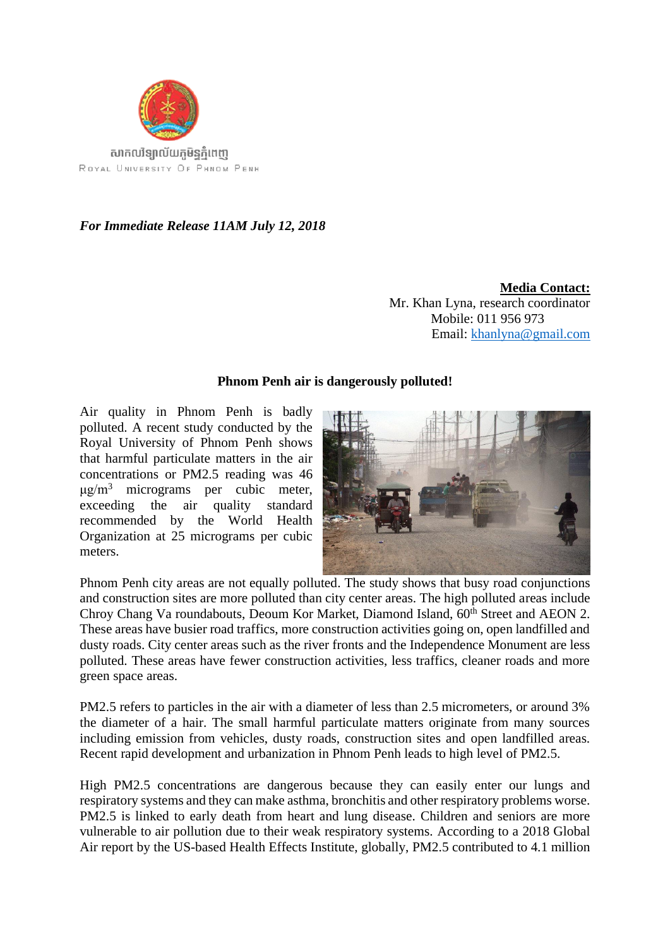

*For Immediate Release 11AM July 12, 2018*

**Media Contact:**  Mr. Khan Lyna, research coordinator Mobile: 011 956 973 Email: [khanlyna@gmail.com](mailto:khanlyna@gmail.com)

## **Phnom Penh air is dangerously polluted!**

Air quality in Phnom Penh is badly polluted. A recent study conducted by the Royal University of Phnom Penh shows that harmful particulate matters in the air concentrations or PM2.5 reading was 46  $\mu$ g/m<sup>3</sup> micrograms per cubic meter, exceeding the air quality standard recommended by the World Health Organization at 25 micrograms per cubic meters.



Phnom Penh city areas are not equally polluted. The study shows that busy road conjunctions and construction sites are more polluted than city center areas. The high polluted areas include Chroy Chang Va roundabouts, Deoum Kor Market, Diamond Island, 60<sup>th</sup> Street and AEON 2. These areas have busier road traffics, more construction activities going on, open landfilled and dusty roads. City center areas such as the river fronts and the Independence Monument are less polluted. These areas have fewer construction activities, less traffics, cleaner roads and more green space areas.

PM2.5 refers to particles in the air with a diameter of less than 2.5 micrometers, or around 3% the diameter of a hair. The small harmful particulate matters originate from many sources including emission from vehicles, dusty roads, construction sites and open landfilled areas. Recent rapid development and urbanization in Phnom Penh leads to high level of PM2.5.

High PM2.5 concentrations are dangerous because they can easily enter our lungs and respiratory systems and they can make asthma, bronchitis and other respiratory problems worse. PM2.5 is linked to early death from heart and lung disease. Children and seniors are more vulnerable to air pollution due to their weak respiratory systems. According to a 2018 Global Air report by the US-based Health Effects Institute, globally, PM2.5 contributed to 4.1 million